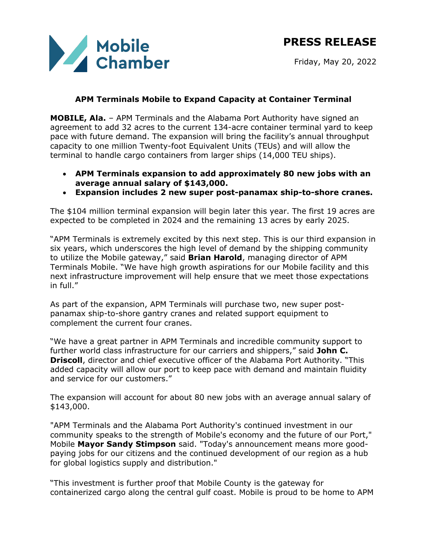

## **APM Terminals Mobile to Expand Capacity at Container Terminal**

**MOBILE, Ala.** – APM Terminals and the Alabama Port Authority have signed an agreement to add 32 acres to the current 134-acre container terminal yard to keep pace with future demand. The expansion will bring the facility's annual throughput capacity to one million Twenty-foot Equivalent Units (TEUs) and will allow the terminal to handle cargo containers from larger ships (14,000 TEU ships).

- **APM Terminals expansion to add approximately 80 new jobs with an average annual salary of \$143,000.**
- **Expansion includes 2 new super post-panamax ship-to-shore cranes.**

The \$104 million terminal expansion will begin later this year. The first 19 acres are expected to be completed in 2024 and the remaining 13 acres by early 2025.

"APM Terminals is extremely excited by this next step. This is our third expansion in six years, which underscores the high level of demand by the shipping community to utilize the Mobile gateway," said **Brian Harold**, managing director of APM Terminals Mobile. "We have high growth aspirations for our Mobile facility and this next infrastructure improvement will help ensure that we meet those expectations in full."

As part of the expansion, APM Terminals will purchase two, new super postpanamax ship-to-shore gantry cranes and related support equipment to complement the current four cranes.

"We have a great partner in APM Terminals and incredible community support to further world class infrastructure for our carriers and shippers," said **John C. Driscoll**, director and chief executive officer of the Alabama Port Authority. "This added capacity will allow our port to keep pace with demand and maintain fluidity and service for our customers."

The expansion will account for about 80 new jobs with an average annual salary of \$143,000.

"APM Terminals and the Alabama Port Authority's continued investment in our community speaks to the strength of Mobile's economy and the future of our Port," Mobile **Mayor Sandy Stimpson** said. "Today's announcement means more goodpaying jobs for our citizens and the continued development of our region as a hub for global logistics supply and distribution."

"This investment is further proof that Mobile County is the gateway for containerized cargo along the central gulf coast. Mobile is proud to be home to APM